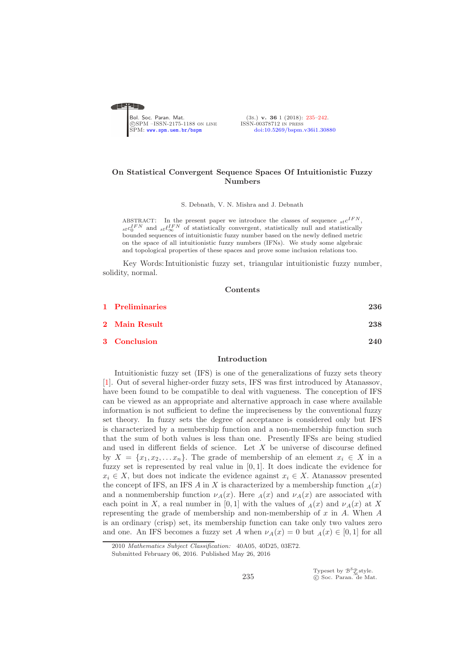<span id="page-0-0"></span>

(3s.) v. 36 1 (2018):  $235-242$  $235-242$ .<br>ISSN-00378712 IN PRESS [doi:10.5269/bspm.v36i1.30880](http://dx.doi.org/10.5269/bspm.v36i1.30880)

# On Statistical Convergent Sequence Spaces Of Intuitionistic Fuzzy Numbers

S. Debnath, V. N. Mishra and J. Debnath

ABSTRACT: In the present paper we introduce the classes of sequence  $_{st}c^{IFN}$ ,  $_{st}c_{0}^{IFN}$  and  $_{st}l_{\infty}^{IFN}$  of statistically convergent, statistically null and statistically bounded sequences of intuitionistic fuzzy number based on the newly defined metric on the space of all intuitionistic fuzzy numbers (IFNs). We study some algebraic and topological properties of these spaces and prove some inclusion relations too.

Key Words: Intuitionistic fuzzy set, triangular intuitionistic fuzzy number, solidity, normal.

#### Contents

| 1 Preliminaries | 236 |
|-----------------|-----|
| 2 Main Result   | 238 |
| 3 Conclusion    | 240 |

#### Introduction

Intuitionistic fuzzy set (IFS) is one of the generalizations of fuzzy sets theory [\[1\]](#page-6-1). Out of several higher-order fuzzy sets, IFS was first introduced by Atanassov, have been found to be compatible to deal with vagueness. The conception of IFS can be viewed as an appropriate and alternative approach in case where available information is not sufficient to define the impreciseness by the conventional fuzzy set theory. In fuzzy sets the degree of acceptance is considered only but IFS is characterized by a membership function and a non-membership function such that the sum of both values is less than one. Presently IFSs are being studied and used in different fields of science. Let  $X$  be universe of discourse defined by  $X = \{x_1, x_2, \ldots, x_n\}$ . The grade of membership of an element  $x_i \in X$  in a fuzzy set is represented by real value in [0, 1]. It does indicate the evidence for  $x_i \in X$ , but does not indicate the evidence against  $x_i \in X$ . Atanassov presented the concept of IFS, an IFS A in X is characterized by a membership function  $_A(x)$ and a nonmembership function  $\nu_A(x)$ . Here  $_A(x)$  and  $\nu_A(x)$  are associated with each point in X, a real number in [0, 1] with the values of  $_A(x)$  and  $\nu_A(x)$  at X representing the grade of membership and non-membership of  $x$  in  $A$ . When  $A$ is an ordinary (crisp) set, its membership function can take only two values zero and one. An IFS becomes a fuzzy set A when  $\nu_A(x) = 0$  but  $_A(x) \in [0,1]$  for all

Typeset by  $\mathcal{B}^{\mathcal{S}}_{\mathcal{M}}$ style.<br>© Soc. Paran. de Mat.

<sup>2010</sup> *Mathematics Subject Classification:* 40A05, 40D25, 03E72.

Submitted February 06, 2016. Published May 26, 2016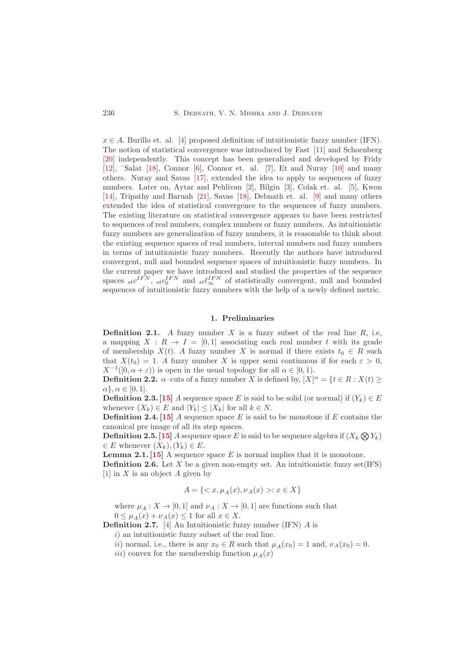$x \in A$ . Burillo et. al. [\[4\]](#page-6-2) proposed definition of intuitionistic fuzzy number (IFN). The notion of statistical convergence was introduced by Fast [\[11\]](#page-6-3) and Schoenberg [\[20\]](#page-6-4) independently. This concept has been generalized and developed by Fridy [\[12\]](#page-6-5),  $\text{`Salat}$  [\[18\]](#page-6-6), Connor [\[6\]](#page-6-7), Connor et. al. [\[7\]](#page-6-8), Et and Nuray [\[10\]](#page-6-9) and many others. Nuray and Savas [\[17\]](#page-6-10), extended the idea to apply to sequences of fuzzy numbers. Later on, Aytar and Pehlivan [\[2\]](#page-6-11), Bilgin [\[3\]](#page-6-12), Colak et. al. [\[5\]](#page-6-13), Kwon [\[14\]](#page-6-14), Tripathy and Baruah [\[21\]](#page-6-15), Savas [\[18\]](#page-6-6), Debnath et. al. [\[9\]](#page-6-16) and many others extended the idea of statistical convergence to the sequences of fuzzy numbers. The existing literature on statistical convergence appears to have been restricted to sequences of real numbers, complex numbers or fuzzy numbers. As intuitionistic fuzzy numbers are generalization of fuzzy numbers, it is reasonable to think about the existing sequence spaces of real numbers, interval numbers and fuzzy numbers in terms of intuitionistic fuzzy numbers. Recently the authors have introduced convergent, null and bounded sequence spaces of intuitionistic fuzzy numbers. In the current paper we have introduced and studied the properties of the sequence spaces  $_{st}c^{IFN}$ ,  $_{st}c^{IFN}$  and  $_{st}c^{IFN}$  of statistically convergent, null and bounded sequences of intuitionistic fuzzy numbers with the help of a newly defined metric.

### 1. Preliminaries

<span id="page-1-0"></span>**Definition 2.1.** A fuzzy number  $X$  is a fuzzy subset of the real line  $R$ , i.e, a mapping  $X : R \to I = [0, 1]$  associating each real number t with its grade of membership  $X(t)$ . A fuzzy number X is normal if there exists  $t_0 \in R$  such that  $X(t_0) = 1$ . A fuzzy number X is upper semi continuous if for each  $\varepsilon > 0$ ,  $X^{-1}([0, \alpha + \varepsilon))$  is open in the usual topology for all  $\alpha \in [0, 1)$ .

**Definition 2.2.**  $\alpha$ -cuts of a fuzzy number X is defined by,  $[X]^{\alpha} = \{t \in R : X(t) \geq 0\}$  $\alpha$ ,  $\alpha \in [0, 1]$ .

**Definition 2.3.** [\[15\]](#page-6-17) A sequence space E is said to be solid (or normal) if  $(Y_k) \in E$ whenever  $(X_k) \in E$  and  $|Y_k| \leq |X_k|$  for all  $k \in N$ .

**Definition 2.4.** [\[15\]](#page-6-17) A sequence space E is said to be monotone if E contains the canonical pre image of all its step spaces.

**Definition 2.5.** [\[15\]](#page-6-17) A sequence space E is said to be sequence algebra if  $(X_k \otimes Y_k)$  $\in E$  whenever  $(X_k), (Y_k) \in E$ .

**Lemma 2.1.** [\[15\]](#page-6-17) A sequence space E is normal implies that it is monotone.

**Definition 2.6.** Let X be a given non-empty set. An intuitionistic fuzzy set  $(IFS)$ [\[1\]](#page-6-1) in  $X$  is an object  $A$  given by

$$
A = \{ \langle x, \mu_A(x), \nu_A(x) \rangle : x \in X \}
$$

where  $\mu_A : X \to [0,1]$  and  $\nu_A : X \to [0,1]$  are functions such that  $0 \leq \mu_A(x) + \nu_A(x) \leq 1$  for all  $x \in X$ .

**Definition 2.7.** [\[4\]](#page-6-2) An Intuitionistic fuzzy number (IFN)  $\vec{A}$  is

i) an intuitionistic fuzzy subset of the real line.

ii) normal, i.e., there is any  $x_0 \in R$  such that  $\mu_A(x_0) = 1$  and,  $\nu_A(x_0) = 0$ .

iii) convex for the membership function  $\mu_A(x)$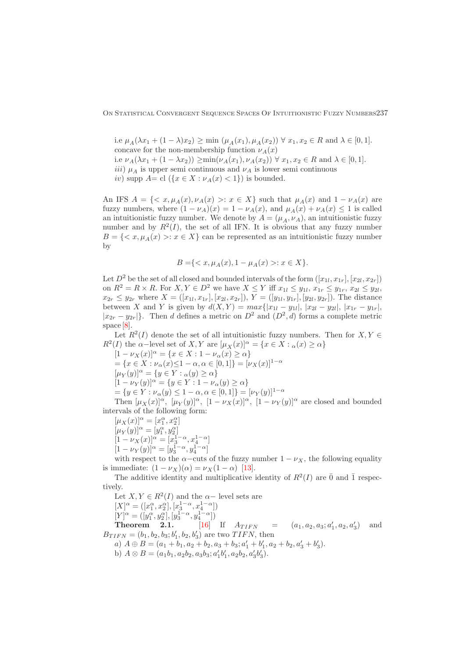On Statistical Convergent Sequence Spaces Of Intuitionistic Fuzzy Numbers237

i.e  $\mu_A(\lambda x_1 + (1 - \lambda)x_2) \ge \min(\mu_A(x_1), \mu_A(x_2)) \ \forall \ x_1, x_2 \in R$  and  $\lambda \in [0, 1]$ . concave for the non-membership function  $\nu_A(x)$ i.e  $\nu_A(\lambda x_1 + (1 - \lambda x_2)) \ge \min(\nu_A(x_1), \nu_A(x_2)) \ \forall \ x_1, x_2 \in R$  and  $\lambda \in [0, 1].$ iii)  $\mu_A$  is upper semi continuous and  $\nu_A$  is lower semi continuous iv) supp  $A = cl$   $({x \in X : \nu_A(x) < 1})$  is bounded.

An IFS  $A = \{ \langle x, \mu_A(x), \nu_A(x) \rangle : x \in X \}$  such that  $\mu_A(x)$  and  $1 - \nu_A(x)$  are fuzzy numbers, where  $(1 - \nu_A)(x) = 1 - \nu_A(x)$ , and  $\mu_A(x) + \nu_A(x) \le 1$  is called an intuitionistic fuzzy number. We denote by  $A = (\mu_A, \nu_A)$ , an intuitionistic fuzzy number and by  $R^2(I)$ , the set of all IFN. It is obvious that any fuzzy number  $B = \{ \langle x, \mu_A(x) \rangle : x \in X \}$  can be represented as an intuitionistic fuzzy number by

$$
B = \{ : x \in X\}.
$$

Let  $D^2$  be the set of all closed and bounded intervals of the form  $([x_{1l}, x_{1r}], [x_{2l}, x_{2r}])$ on  $R^2 = R \times R$ . For  $X, Y \in D^2$  we have  $X \leq Y$  iff  $x_{1l} \leq y_{1l}, x_{1r} \leq y_{1r}, x_{2l} \leq y_{2l}$ ,  $x_{2r} \leq y_{2r}$  where  $X = ([x_{1l}, x_{1r}], [x_{2l}, x_{2r}]), Y = ([y_{1l}, y_{1r}], [y_{2l}, y_{2r}]).$  The distance between X and Y is given by  $d(X,Y) = max{ |x_{1l} - y_{1l}|, |x_{2l} - y_{2l}|, |x_{1r} - y_{1r}|,$  $|x_{2r} - y_{2r}|$ . Then d defines a metric on  $D^2$  and  $(D^2, d)$  forms a complete metric space [\[8\]](#page-6-18).

Let  $R^2(I)$  denote the set of all intuitionistic fuzzy numbers. Then for  $X, Y \in$  $R^2(I)$  the  $\alpha$ -level set of X, Y are  $[\mu_X(x)]^{\alpha} = \{x \in X : \alpha(x) \ge \alpha\}$ 

 $[1 - \nu_X(x)]^{\alpha} = \{x \in X : 1 - \nu_{\alpha}(x) \ge \alpha\}$  $=\{x\in X:\nu_{\alpha}(x)\leq 1-\alpha,\alpha\in[0,1]\}=[\nu_{X}(x)]^{1-\alpha}$  $[\mu_Y(y)]^{\alpha} = \{y \in Y : \alpha(y) \ge \alpha\}$  $[1 - \nu_Y(y)]^{\alpha} = \{y \in Y : 1 - \nu_{\alpha}(y) \ge \alpha\}$  $=\{y \in Y : \nu_{\alpha}(y) \leq 1 - \alpha, \alpha \in [0,1]\} = [\nu_Y(y)]^{1-\alpha}$ Then  $[\mu_X(x)]^{\alpha}$ ,  $[\mu_Y(y)]^{\alpha}$ ,  $[1 - \nu_X(x)]^{\alpha}$ ,  $[1 - \nu_Y(y)]^{\alpha}$  are closed and bounded

intervals of the following form:

 $[\mu_X(x)]^\alpha = [x_1^\alpha, x_2^\alpha]$  $[\mu_Y(y)]^\alpha=[y_1^\alpha, y_2^\alpha]$  $[1 - \nu_X(x)]^{\alpha} = [x_3^{1-\alpha}, x_4^{1-\alpha}]$  $[1 - \nu_Y(y)]^{\alpha} = [y_3^{1-\alpha}, y_4^{1-\alpha}]$ 

with respect to the  $\alpha$ –cuts of the fuzzy number  $1 - \nu_X$ , the following equality is immediate:  $(1 - \nu_X)(\alpha) = \nu_X(1 - \alpha)$  [\[13\]](#page-6-19).

The additive identity and multiplicative identity of  $R^2(I)$  are  $\bar{0}$  and  $\bar{1}$  respectively.

Let  $X, Y \in R^2(I)$  and the  $\alpha$ - level sets are  $[X]^\alpha = ([x_1^\alpha, x_2^\alpha], [x_3^{1-\alpha}, x_4^{1-\alpha}])$  $[Y]^\alpha = ([y_1^\alpha, y_2^\alpha], [y_3^{1-\alpha}, y_4^{1-\alpha}])$ 

**Theorem 2.1.** [\[16\]](#page-6-20) If  $A_{TIFN}$  =  $'_{1}, a_{2}, a'_{3}$  and  $B_{TIFN} = (b_1, b_2, b_3; b'_1, b_2, b'_3)$  are two  $TIFN$ , then

a)  $A \oplus B = (a_1 + b_1, a_2 + b_2, a_3 + b_3; a'_1 + b'_1, a_2 + b_2, a'_3 + b'_3).$ 

b)  $A \otimes B = (a_1b_1, a_2b_2, a_3b_3; a'_1b'_1, a_2b_2, a'_3b'_3).$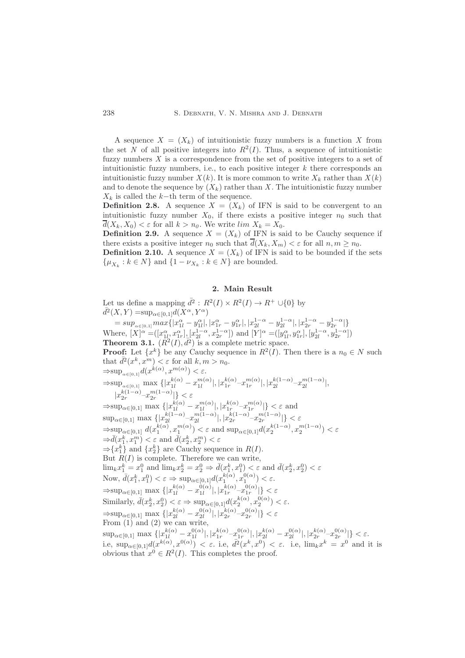A sequence  $X = (X_k)$  of intuitionistic fuzzy numbers is a function X from the set N of all positive integers into  $R^2(I)$ . Thus, a sequence of intuitionistic fuzzy numbers X is a correspondence from the set of positive integers to a set of intuitionistic fuzzy numbers, i.e., to each positive integer  $k$  there corresponds an intuitionistic fuzzy number  $X(k)$ . It is more common to write  $X_k$  rather than  $X(k)$ and to denote the sequence by  $(X_k)$  rather than X. The intuitionistic fuzzy number  $X_k$  is called the  $k-$ th term of the sequence.

**Definition 2.8.** A sequence  $X = (X_k)$  of IFN is said to be convergent to an intuitionistic fuzzy number  $X_0$ , if there exists a positive integer  $n_0$  such that  $\overline{d}(X_k, X_0) < \varepsilon$  for all  $k > n_0$ . We write  $\lim X_k = X_0$ .

**Definition 2.9.** A sequence  $X = (X_k)$  of IFN is said to be Cauchy sequence if there exists a positive integer  $n_0$  such that  $\overline{d}(X_k, X_m) < \varepsilon$  for all  $n, m \ge n_0$ .

**Definition 2.10.** A sequence  $X = (X_k)$  of IFN is said to be bounded if the sets  $\{\mu_{X_k} : k \in N\}$  and  $\{1 - \nu_{X_k} : k \in N\}$  are bounded.

### 2. Main Result

<span id="page-3-0"></span>Let us define a mapping  $\bar{d}^2$ :  $R^2(I) \times R^2(I) \to R^+ \cup \{0\}$  by  $\overline{d}^2(X,Y) = \sup_{\alpha \in [0,1]} d(X^{\alpha},Y^{\alpha})$  $= sup_{\alpha \in [0,1]} max \{ |x_{1l}^\alpha - y_{1l}^\alpha|, |x_{1r}^\alpha - y_{1r}^\alpha|, |x_{2l}^{1-\alpha} - y_{2l}^{1-\alpha}|, |x_{2r}^{1-\alpha} - y_{2r}^{1-\alpha}| \}$ Where,  $[X]^{\alpha} = ([x_{1l}^{\alpha}, x_{1r}^{\alpha}], [x_{2l}^{1-\alpha}, x_{2r}^{1-\alpha}])$  and  $[Y]^{\alpha} = ([y_{1l}^{\alpha}, y_{1r}^{\alpha}], [y_{2l}^{1-\alpha}, y_{2r}^{1-\alpha}])$ **Theorem 3.1.**  $(R^2(I), \overline{d^2})$  is a complete metric space. **Proof:** Let  $\{x^k\}$  be any Cauchy sequence in  $R^2(I)$ . Then there is a  $n_0 \in N$  such that  $\bar{d}^2(x^k, x^m) < \varepsilon$  for all  $k, m > n_0$ .  $\Rightarrow \sup_{\alpha \in [0,1]} d(x^{k(\alpha)}, x^{m(\alpha)}) < \varepsilon.$  $\Rightarrow \sup_{\alpha \in [0,1]} \max \left\{ |x_{1l}^{k(\alpha)} - x_{1l}^{m(\alpha)} \right\}$  $\binom{m(\alpha)}{1l}, |x_{1r}^{k(\alpha)}-x_{1r}^{m(\alpha)}|, |x_{2l}^{k(1-\alpha)}|$  $_{2l}^{k(1-\alpha)}$ - $x_{2l}^{m(1-\alpha)}$  $\frac{m(1-\alpha)}{2l}\big|$  $|x_{2r}^{k(1-\alpha)}-x_{2r}^{m(1-\alpha)}|\}<\varepsilon$  $\Rightarrow \sup_{\alpha \in [0,1]} \max \left\{ |x_{1l}^{k(\alpha)} - x_{1l}^{m(\alpha)} \right\}$  $\binom{m(\alpha)}{1l}, |x_{1r}^{k(\alpha)}-x_{1r}^{m(\alpha)}| < \varepsilon$  and  $\sup_{\alpha \in [0,1]} \max \left\{ |x_{2l}^{k(1-\alpha)}\right\}$  $\frac{k(1-\alpha)}{2l} - x_{2l}^{m(1-\alpha)}$  $\frac{m(1-\alpha)}{2l}, |x_{2r}^{k(1-\alpha)}-x_{2r}^{m(1-\alpha)}|$ } <  $\varepsilon$ ⇒sup<sub>α∈[0,1]</sub>  $d(x_1^{k(\alpha)}, x_1^{m(\alpha)}) < \varepsilon$  and sup<sub>α∈[0,1]</sub> $d(x_2^{k(1-\alpha)}, x_2^{m(1-\alpha)}) < \varepsilon$  $\Rightarrow \bar{d}(x_1^k, x_1^m) < \varepsilon$  and  $\bar{d}(x_2^k, x_2^m) < \varepsilon$  $\Rightarrow$ { $x_1^k$ } and { $x_2^k$ } are Cauchy sequence in  $R(I)$ . But  $R(I)$  is complete. Therefore we can write,  $\lim_k x_1^k = x_1^0$  and  $\lim_k x_2^k = x_2^0 \Rightarrow \bar{d}(x_1^k, x_1^0) < \varepsilon$  and  $\bar{d}(x_2^k, x_2^0) < \varepsilon$ Now,  $\bar{d}(x_1^k, x_1^0) < \varepsilon \Rightarrow \sup_{\alpha \in [0,1]} d(x_1^{k(\alpha)}, x_1^{0(\alpha)}) < \varepsilon$ . ⇒sup<sub>α∈[0,1]</sub> max  $\{ |x_{1l}^{k(\alpha)} - x_{1l}^{0(\alpha)}| \}$  $\left\{ \frac{0(\alpha)}{1l} \right\}, \left| x_{1r}^{k(\alpha)} - x_{1r}^{0(\alpha)} \right| \} < \varepsilon$ Similarly,  $\bar{d}(x_2^k, x_2^0) < \varepsilon \Rightarrow \sup_{\alpha \in [0,1]} d(x_2^{k(\alpha)}, x_2^{0(\alpha)}) < \varepsilon$ .  $\Rightarrow \sup_{\alpha \in [0,1]} \max \left\{ |x_{2l}^{k(\alpha)} - x_{2l}^{0(\alpha)} \right\}$  $\left\{ \frac{1}{2l} \right\}, \left| x_{2r}^{k(\alpha)} - x_{2r}^{0(\alpha)} \right| \} < \varepsilon$ From  $(1)$  and  $(2)$  we can write,  $\sup_{\alpha \in [0,1]} \max \left\{ |x_{1l}^{k(\alpha)} - x_{1l}^{0(\alpha)} \right\}$  $\left| \begin{smallmatrix} 0(\alpha) \ 1l \end{smallmatrix} \right|, \left| x_{1r}^{k(\alpha)} {-} x_{1r}^{0(\alpha)} \right|, \left| x_{2l}^{k(\alpha)} - x_{2l}^{0(\alpha)} \right|$  $\frac{0(\alpha)}{2l}, |x_{2r}^{k(\alpha)}-x_{2r}^{0(\alpha)}| \}<\varepsilon.$ i.e,  $\sup_{\alpha \in [0,1]} d(x^{k(\alpha)}, x^{0(\alpha)}) < \varepsilon$ . i.e,  $\overline{d^2}(x^k, x^0) < \varepsilon$ . i.e,  $\lim_k x^k = x^0$  and it is obvious that  $x^0 \in R^2(I)$ . This completes the proof.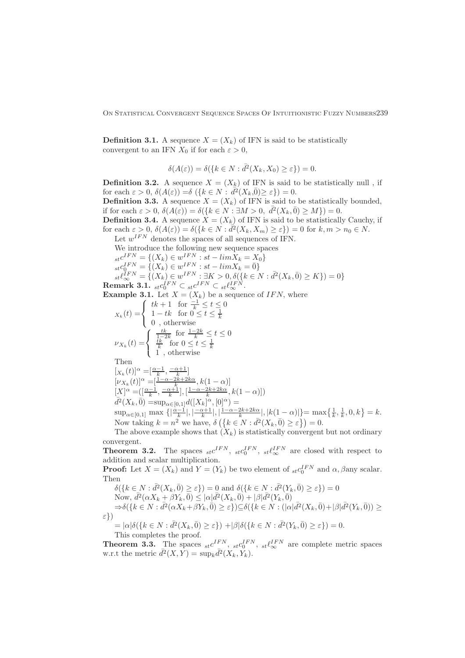On Statistical Convergent Sequence Spaces Of Intuitionistic Fuzzy Numbers239

**Definition 3.1.** A sequence  $X = (X_k)$  of IFN is said to be statistically convergent to an IFN  $X_0$  if for each  $\varepsilon > 0$ ,

$$
\delta(A(\varepsilon)) = \delta(\{k \in N : \bar{d}^2(X_k, X_0) \ge \varepsilon\}) = 0.
$$

**Definition 3.2.** A sequence  $X = (X_k)$  of IFN is said to be statistically null, if for each  $\varepsilon > 0$ ,  $\delta(A(\varepsilon)) = \delta \left( \{ k \in N : \overline{d^2}(X_k, \overline{0}) \ge \varepsilon \} \right) = 0$ . **Definition 3.3.** A sequence  $X = (X_k)$  of IFN is said to be statistically bounded, if for each  $\varepsilon > 0$ ,  $\delta(A(\varepsilon)) = \delta({k \in N : \exists M > 0, \overline{d}^2(X_k, \overline{0}) \ge M}) = 0$ . **Definition 3.4.** A sequence  $X = (X_k)$  of IFN is said to be statistically Cauchy, if for each  $\varepsilon > 0$ ,  $\delta(A(\varepsilon)) = \delta({k \in N : \overrightarrow{d}}(X_k, X_m) \geq \varepsilon) = 0$  for  $k, m > n_0 \in N$ . Let  $w^{IFN}$  denotes the spaces of all sequences of IFN. We introduce the following new sequence spaces  $_{st}c^{IFN} = \{(X_k) \in w^{IFN} : st - limX_k = X_0\}$  $_{st}c_{0}^{IFN} = \{(X_k) \in w_{1}^{IFN} : st - limX_k = \overline{0}\}$  $\mathcal{L}_{st} \ell_{\infty}^{IFN} = \{ (X_k) \in w^{IFN} : \exists K > 0, \delta(\{ k \in N : \bar{d}^2(X_k, \bar{0}) \geq K \}) = 0 \}$ Remark 3.1.  ${}_{st}c_{0}^{IFN} \subset {}_{st}c^{IFN} \subset {}_{st}\ell_{\infty}^{IFN}$ . **Example 3.1.** Let  $X = (X_k)$  be a sequence of IFN, where  $X_k(t) =$  $\sqrt{ }$ <sup>J</sup>  $\mathcal{L}$  $tk + 1$  for  $\frac{-1}{k} \le t \le 0$  $1 - tk$  for  $0 \le t \le \frac{1}{k}$ <br>0, otherwise  $\nu_{X_k}(t) =$  $\sqrt{ }$  $\int$  $\mathcal{L}$  $\frac{tk}{1-2k}$  for  $\frac{1-2k}{k} \le t \le 0$ <br>  $\frac{tk}{k}$  for  $0 \le t \le \frac{1}{k}$ <br>
1, otherwise Then  $[x_k(t)]^{\alpha} = \left[\frac{\alpha-1}{k}, \frac{-\alpha+1}{k}\right]$  $[\nu_{X_k}(t)]^{\alpha} = \left[\frac{1-\alpha-2k+2k\alpha}{k}, k(1-\alpha)\right]$  $\big[X\big]^{\alpha} = \big([\frac{\alpha - 1}{k}, \frac{-\alpha + 1}{k}], [\frac{1 - \alpha - 2k + 2k\alpha}{k}, k(1 - \alpha)]\big)$  $d^2(X_k, 0) = \sup_{\alpha \in [0,1]} d([X_k]^{\alpha}, [0]^{\alpha}) =$  $\sup_{\alpha \in [0,1]} \max \left\{ \left| \frac{\alpha-1}{k} \right|, \left| \frac{-\alpha+1}{k} \right|, \left| \frac{1-\alpha-2k+2k\alpha}{k} \right|, \left| k(1-\alpha) \right| \right\} = \max \left\{ \frac{1}{k}, \frac{1}{k}, 0, k \right\} = k.$ Now taking  $k = n^2$  we have,  $\delta\left(\left\{k \in N : \overline{d}^2(X_k, \overline{0}) \geq \varepsilon\right\}\right) = 0.$ The above example shows that  $(X_k)$  is statistically convergent but not ordinary convergent.

**Theorem 3.2.** The spaces  ${}_{st}c^{IFN}$ ,  ${}_{st}c^{IFN}$ ,  ${}_{st}l^{IFN}$  are closed with respect to addition and scalar multiplication.

**Proof:** Let  $X = (X_k)$  and  $Y = (Y_k)$  be two element of  ${}_{st}c_0^{IFN}$  and  $\alpha$ ,  $\beta$ any scalar. Then

 $\delta({\{k \in N : \bar{d}^2(X_k, \bar{0}) \geq \varepsilon\}}) = 0$  and  $\delta({\{k \in N : \bar{d}^2(Y_k, \bar{0}) \geq \varepsilon\}}) = 0$ Now,  $d^2(\alpha X_k + \beta Y_k, \overline{0}) \leq |\alpha|\overline{d}^2(X_k, \overline{0}) + |\beta|\overline{d}^2(Y_k, \overline{0})$  $\Rightarrow \delta(\lbrace k \in N : \overline{d^2}(\alpha X_k + \beta Y_k, \overline{0}) \geq \varepsilon \rbrace) \subseteq \delta(\lbrace k \in N : (|\alpha|\overline{d^2}(X_k, \overline{0}) + |\beta|\overline{d^2}(Y_k, \overline{0})) \geq$ ε})

 $= |\alpha| \delta({k \in N : \overline{d^2}}(X_k, \overline{0}) \ge \varepsilon}) + |\beta| \delta({k \in N : \overline{d^2}}(Y_k, \overline{0}) \ge \varepsilon}) = 0.$ This completes the proof.

**Theorem 3.3.** The spaces  ${}_{st}c^{IFN}$ ,  ${}_{st}c^{IFN}$ ,  ${}_{st}l^{IFN}_{\infty}$  are complete metric spaces w.r.t the metric  $\bar{d}^2(X, Y) = \text{sup}_k \bar{d}^2(X_k, Y_k)$ .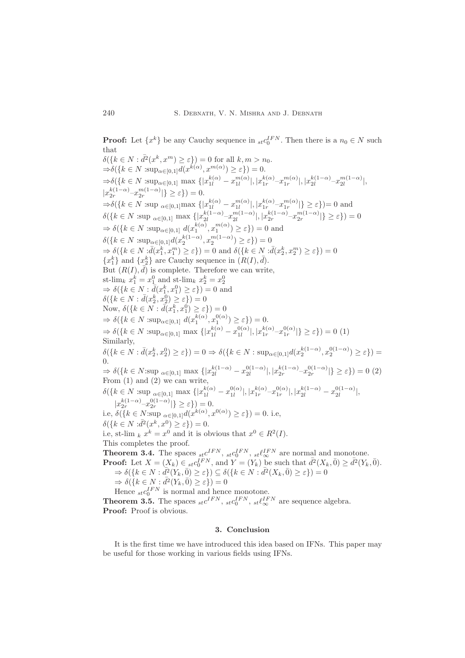**Proof:** Let  $\{x^k\}$  be any Cauchy sequence in  $_{st}c_0^{IFN}$ . Then there is a  $n_0 \in N$  such that  $\delta({k \in N : \overline{d}^2(x^k, x^m) \geq \varepsilon}) = 0$  for all  $k, m > n_0$ .  $\Rightarrow \delta({k \in N : \sup_{\alpha \in [0,1]} d(x^{k(\alpha)}, x^{m(\alpha)}) \geq \varepsilon}) = 0.$  $\Rightarrow \delta({k \in N : \sup_{\alpha \in [0,1]} \max {\{|x_{1l}^{k(\alpha)} - x_{1l}^{m(\alpha)}\} | \}})$  $\left. \begin{array}{l} m(\alpha) \\ 1 l \end{array} \right|, |x_{1r}^{k(\alpha)} – x_{1r}^{m(\alpha)}|, |x_{2l}^{k(1-\alpha)}|$  $\frac{k(1-\alpha)}{2l} - x_{2l}^{m(1-\alpha)}$  $\frac{m(1-\alpha)}{2l}\big|,$  $|x_{2r}^{k(1-\alpha)}-x_{2r}^{m(1-\alpha)}|\geq \varepsilon\})=0.$ 2r  $-x_{2r}$  $\Rightarrow \delta({k \in N} : \text{sup }_{\alpha \in [0,1]} \max({|x_{1l}^{k(\alpha)} - x_{1l}^{m(\alpha)})})$  $\binom{m(\alpha)}{1l}, \binom{k(\alpha)}{1r} - x_{1r}^{m(\alpha)} \geq \varepsilon$ } = 0 and  $\delta({k \in N} : \sup_{\alpha \in [0,1]} \max_{{k \leq l}} {\left| {x_{2l}^{k(1-\alpha)} } \right|}$  $_{2l}^{k(1-\alpha)}$ - $x_{2l}^{m(1-\alpha)}$  $\left\{ \frac{m(1-\alpha)}{2l}, \left| x_{2r}^{k(1-\alpha)} - x_{2r}^{m(1-\alpha)} \right| \right\} \geq \varepsilon \right\}$ ) = 0  $\Rightarrow \delta({k \in N : \sup_{\alpha \in [0,1]} d(x_1^{k(\alpha)}, x_1^{m(\alpha)}) \geq \varepsilon}) = 0$  and  $δ({k ∈ N : sup<sub>α∈[0,1]</sub> d(x<sub>2</sub><sup>k(1-α)</sup>, x<sub>2</sub><sup>m(1-α)</sup>) ≥ ε}) = 0$  $\Rightarrow \delta(\lbrace k \in N : \bar{d}(x_1^k, x_1^m) \geq \varepsilon \rbrace) = 0$  and  $\delta(\lbrace k \in N : \bar{d}(x_2^k, x_2^m) \geq \varepsilon \rbrace) = 0$  ${x_1^k}$  and  ${x_2^k}$  are Cauchy sequence in  $(R(I), \bar{d})$ . But  $(R(I), \overline{d})$  is complete. Therefore we can write, st-lim<sub>k</sub>  $x_1^k = x_1^0$  and st-lim<sub>k</sub>  $x_2^k = x_2^0$  $\Rightarrow \delta(\lbrace k \in N : \overline{d}(x_1^k, x_1^0) \geq \varepsilon \rbrace) = 0$  and  $\delta(\lbrace k \in N : \bar{d}(x_2^k, x_2^0) \geq \varepsilon \rbrace) = 0$ Now,  $\delta(\lbrace k \in N : \overline{d}(x_1^k, x_1^0) \geq \varepsilon \rbrace) = 0$  $\Rightarrow \delta({k \in N : \sup_{\alpha \in [0,1]} d(x_1^{k(\alpha)}, x_1^{0(\alpha)}) \geq \varepsilon}) = 0.$  $\Rightarrow \delta({k \in N : \sup_{\alpha \in [0,1]} \max {\{|x_{1l}^{k(\alpha)} - x_{1l}^{0(\alpha)}\} | \}})$  $\left\{ \frac{0(\alpha)}{1l} \right\}, \left| x_{1r}^{k(\alpha)} - x_{1r}^{0(\alpha)} \right| \geq \varepsilon \}$ ) = 0 (1) Similarly,  $\delta({k \in N : \bar{d}(x_2^k, x_2^0) \ge \varepsilon}) = 0 \Rightarrow \delta({k \in N : \sup_{\alpha \in [0,1]} d(x_2^{k(1-\alpha)}, x_2^{0(1-\alpha)}) \ge \varepsilon}) =$ 0.  $\Rightarrow \delta({k \in N : \text{sup }_{\alpha \in [0,1]} \text{max }({|x_{2l}^{k(1-\alpha)} - x_{2l}^{0(1-\alpha)} | \text{max }{\alpha})})$  $\left\{ \frac{20(1-\alpha)}{2l}, \left| x_{2r}^{k(1-\alpha)} - x_{2r}^{0(1-\alpha)} \right| \right\} \geq \varepsilon \right\} = 0$  (2) From (1) and (2) we can write,  $\delta({k \in N} : \sup_{\alpha \in [0,1]} \max_{{k \in N}} {\left| {x_{1l}^{k(\alpha)} - x_{1l}^{0(\alpha)}} \right|}$  $\left| \begin{smallmatrix} 0(\alpha) \ 1l \end{smallmatrix} \right|, \left| x_{1r}^{k(\alpha)} {-} x_{1r}^{0(\alpha)} \right|, \left| x_{2l}^{k(1-\alpha)} - x_{2l}^{0(1-\alpha)} \right|$  $\frac{1-\alpha}{2l},$  $|x_{2r}^{k(1-\alpha)}-x_{2r}^{0(1-\alpha)}|\geq \varepsilon\})=0.$ i.e,  $\delta({k \in N:\sup_{\alpha \in [0,1]} d(x^{k(\alpha)}, x^{0(\alpha)}) \geq \varepsilon}) = 0$ . i.e,  $\delta({\{k \in N : \bar{d}^2(x^k, x^0) \geq \varepsilon\}}) = 0.$ i.e, st-lim  $_k x^k = x^0$  and it is obvious that  $x^0 \in R^2(I)$ . This completes the proof. **Theorem 3.4.** The spaces  ${}_{st}c^{IFN}$ ,  ${}_{st}c^{IFN}$ ,  ${}_{st}l^{IFN}_{\infty}$  are normal and monotone. **Proof:** Let  $X = (X_k) \in {}_{st}c_0^{IFN}$ , and  $Y = (Y_k)$  be such that  $d^2(X_k, \bar{0}) \geq d^2(Y_k, \bar{0})$ .  $\Rightarrow \delta(\lbrace k \in N : \overline{d^2}(Y_k, \overline{0}) \geq \varepsilon \rbrace) \subseteq \delta(\lbrace k \in N : \overline{d^2}(X_k, \overline{0}) \geq \varepsilon \rbrace) = 0$  $\Rightarrow \delta(\overline{\{k \in N : \overline{d}^2(Y_k, \overline{0}) \geq \varepsilon\}}) = 0$ Hence  $_{st}c_0^{IFN}$  is normal and hence monotone. **Theorem 3.5.** The spaces  ${}_{st}c^{IFN}$ ,  ${}_{st}c^{IFN}$ ,  ${}_{st}l^{IFN}_{\infty}$  are sequence algebra.

<span id="page-5-0"></span>Proof: Proof is obvious.

### 3. Conclusion

It is the first time we have introduced this idea based on IFNs. This paper may be useful for those working in various fields using IFNs.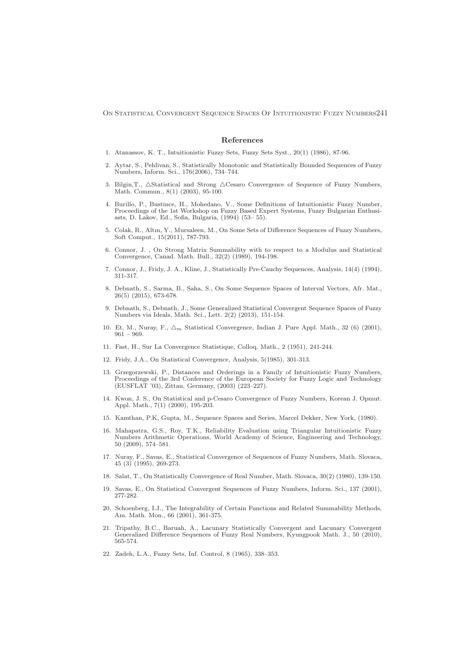On Statistical Convergent Sequence Spaces Of Intuitionistic Fuzzy Numbers241

#### <span id="page-6-0"></span>References

- <span id="page-6-11"></span><span id="page-6-1"></span>1. Atanassov, K. T., Intuitionistic Fuzzy Sets, Fuzzy Sets Syst., 20(1) (1986), 87-96.
- 2. Aytar, S., Pehlivan, S., Statistically Monotonic and Statistically Bounded Sequences of Fuzzy Numbers, Inform. Sci., 176(2006), 734–744.
- <span id="page-6-12"></span>3. Bilgin, T.,  $\triangle$ Statistical and Strong  $\triangle$ Cesaro Convergence of Sequence of Fuzzy Numbers, Math. Commun., 8(1) (2003), 95-100.
- <span id="page-6-2"></span>4. Burillo, P., Bustince, H., Mohedano, V., Some Definitions of Intuitionistic Fuzzy Number, Proceedings of the 1st Workshop on Fuzzy Based Expert Systems, Fuzzy Bulgarian Enthusiasts, D. Lakov, Ed., Sofia, Bulgaria, (1994) (53– 55).
- <span id="page-6-13"></span>5. Colak, R., Altın, Y., Mursaleen, M., On Some Sets of Difference Sequences of Fuzzy Numbers, Soft Comput., 15(2011), 787-793.
- <span id="page-6-7"></span>6. Connor, J. , On Strong Matrix Summability with to respect to a Modulus and Statistical Convergence, Canad. Math. Bull., 32(2) (1989), 194-198.
- <span id="page-6-18"></span><span id="page-6-8"></span>7. Connor, J., Fridy, J. A., Kline, J., Statistically Pre-Cauchy Sequences, Analysis, 14(4) (1994), 311-317.
- 8. Debnath, S., Sarma, B., Saha, S., On Some Sequence Spaces of Interval Vectors, Afr. Mat., 26(5) (2015), 673-678.
- <span id="page-6-16"></span>9. Debnath, S., Debnath, J., Some Generalized Statistical Convergent Sequence Spaces of Fuzzy Numbers via Ideals, Math. Sci., Lett. 2(2) (2013), 151-154.
- <span id="page-6-9"></span>10. Et, M., Nuray, F.,  $\Delta_m$  Statistical Convergence, Indian J. Pure Appl. Math., 32 (6) (2001),  $961 - 969.$
- <span id="page-6-5"></span><span id="page-6-3"></span>11. Fast, H., Sur La Convergence Statistique, Colloq. Math., 2 (1951), 241-244.
- <span id="page-6-19"></span>12. Fridy, J.A., On Statistical Convergence, Analysis, 5(1985), 301-313.
- 13. Grzegorzewski, P., Distances and Orderings in a Family of Intuitionistic Fuzzy Numbers, Proceedings of the 3rd Conference of the European Society for Fuzzy Logic and Technology (EUSFLAT '03), Zittau, Germany, (2003) (223–227).
- <span id="page-6-14"></span>14. Kwon, J. S., On Statistical and p-Cesaro Convergence of Fuzzy Numbers, Korean J. Opmut. Appl. Math., 7(1) (2000), 195-203.
- <span id="page-6-20"></span><span id="page-6-17"></span>15. Kamthan, P.K, Gupta, M., Sequence Spaces and Series, Marcel Dekker, New York, (1980).
- 16. Mahapatra, G.S., Roy, T.K., Reliability Evaluation using Triangular Intuitionistic Fuzzy Numbers Arithmetic Operations, World Academy of Science, Engineering and Technology, 50 (2009), 574–581.
- <span id="page-6-10"></span>17. Nuray, F., Savas, E., Statistical Convergence of Sequences of Fuzzy Numbers, Math. Slovaca, 45 (3) (1995), 269-273.
- <span id="page-6-6"></span>18. Salat, T., On Statistically Convergence of Real Number, Math. Slovaca, 30(2) (1980), 139-150.
- 19. Savas, E., On Statistical Convergent Sequences of Fuzzy Numbers, Inform. Sci., 137 (2001), 277-282.
- <span id="page-6-4"></span>20. Schoenberg, I.J., The Integrability of Certain Functions and Related Summability Methods, Am. Math. Mon., 66 (2001), 361-375.
- <span id="page-6-15"></span>21. Tripathy, B.C., Baruah, A., Lacunary Statistically Convergent and Lacunary Convergent Generalized Difference Sequences of Fuzzy Real Numbers, Kyungpook Math. J., 50 (2010), 565-574.
- 22. Zadeh, L.A., Fuzzy Sets, Inf. Control, 8 (1965), 338–353.